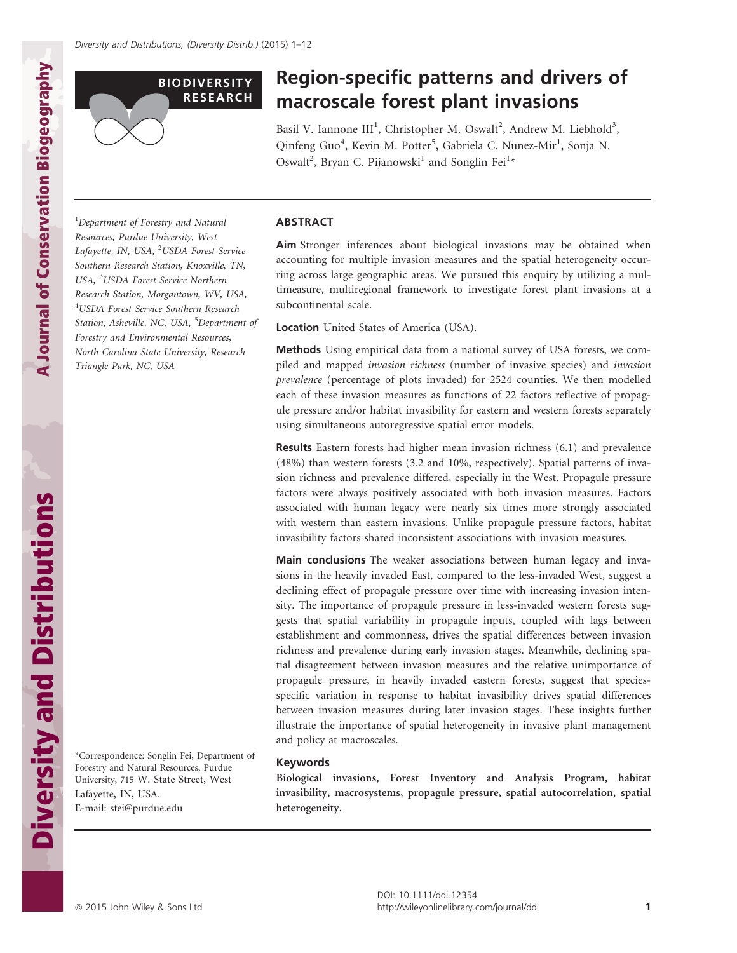## BIODIVERSITY RESEARCH

# Region-specific patterns and drivers of macroscale forest plant invasions

Basil V. Iannone III<sup>1</sup>, Christopher M. Oswalt<sup>2</sup>, Andrew M. Liebhold<sup>3</sup>, Qinfeng Guo<sup>4</sup>, Kevin M. Potter<sup>5</sup>, Gabriela C. Nunez-Mir<sup>1</sup>, Sonja N. Oswalt<sup>2</sup>, Bryan C. Pijanowski<sup>1</sup> and Songlin Fei<sup>1\*</sup>

<sup>1</sup>Department of Forestry and Natural Resources, Purdue University, West Lafayette, IN, USA, <sup>2</sup>USDA Forest Service Southern Research Station, Knoxville, TN, USA, <sup>3</sup>USDA Forest Service Northern Research Station, Morgantown, WV, USA, 4 USDA Forest Service Southern Research Station, Asheville, NC, USA, <sup>5</sup>Department of Forestry and Environmental Resources, North Carolina State University, Research Triangle Park, NC, USA

## ABSTRACT

Aim Stronger inferences about biological invasions may be obtained when accounting for multiple invasion measures and the spatial heterogeneity occurring across large geographic areas. We pursued this enquiry by utilizing a multimeasure, multiregional framework to investigate forest plant invasions at a subcontinental scale.

Location United States of America (USA).

Methods Using empirical data from a national survey of USA forests, we compiled and mapped invasion richness (number of invasive species) and invasion prevalence (percentage of plots invaded) for 2524 counties. We then modelled each of these invasion measures as functions of 22 factors reflective of propagule pressure and/or habitat invasibility for eastern and western forests separately using simultaneous autoregressive spatial error models.

Results Eastern forests had higher mean invasion richness (6.1) and prevalence (48%) than western forests (3.2 and 10%, respectively). Spatial patterns of invasion richness and prevalence differed, especially in the West. Propagule pressure factors were always positively associated with both invasion measures. Factors associated with human legacy were nearly six times more strongly associated with western than eastern invasions. Unlike propagule pressure factors, habitat invasibility factors shared inconsistent associations with invasion measures.

Main conclusions The weaker associations between human legacy and invasions in the heavily invaded East, compared to the less-invaded West, suggest a declining effect of propagule pressure over time with increasing invasion intensity. The importance of propagule pressure in less-invaded western forests suggests that spatial variability in propagule inputs, coupled with lags between establishment and commonness, drives the spatial differences between invasion richness and prevalence during early invasion stages. Meanwhile, declining spatial disagreement between invasion measures and the relative unimportance of propagule pressure, in heavily invaded eastern forests, suggest that speciesspecific variation in response to habitat invasibility drives spatial differences between invasion measures during later invasion stages. These insights further illustrate the importance of spatial heterogeneity in invasive plant management and policy at macroscales.

## Keywords

Biological invasions, Forest Inventory and Analysis Program, habitat invasibility, macrosystems, propagule pressure, spatial autocorrelation, spatial heterogeneity.

**A Journal of Conservation Biogeography**

A Journal of Conservation Biogeography

Lafayette, IN, USA. E-mail: sfei@purdue.edu

\*Correspondence: Songlin Fei, Department of Forestry and Natural Resources, Purdue University, 715 W. State Street, West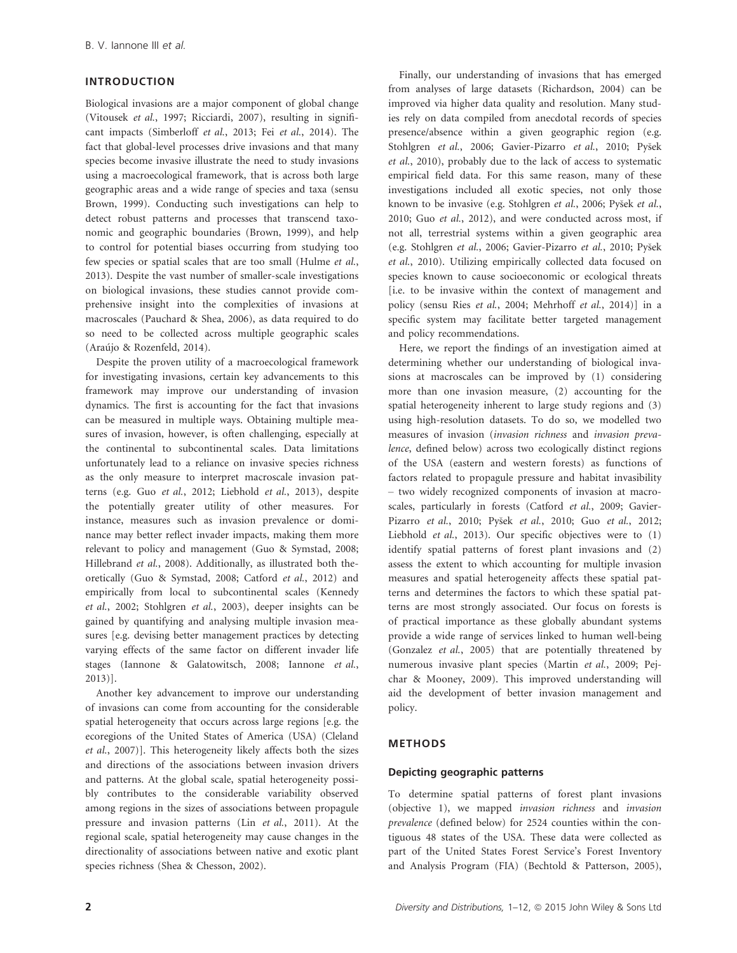## INTRODUCTION

Biological invasions are a major component of global change (Vitousek et al., 1997; Ricciardi, 2007), resulting in significant impacts (Simberloff et al., 2013; Fei et al., 2014). The fact that global-level processes drive invasions and that many species become invasive illustrate the need to study invasions using a macroecological framework, that is across both large geographic areas and a wide range of species and taxa (sensu Brown, 1999). Conducting such investigations can help to detect robust patterns and processes that transcend taxonomic and geographic boundaries (Brown, 1999), and help to control for potential biases occurring from studying too few species or spatial scales that are too small (Hulme et al., 2013). Despite the vast number of smaller-scale investigations on biological invasions, these studies cannot provide comprehensive insight into the complexities of invasions at macroscales (Pauchard & Shea, 2006), as data required to do so need to be collected across multiple geographic scales (Araújo & Rozenfeld, 2014).

Despite the proven utility of a macroecological framework for investigating invasions, certain key advancements to this framework may improve our understanding of invasion dynamics. The first is accounting for the fact that invasions can be measured in multiple ways. Obtaining multiple measures of invasion, however, is often challenging, especially at the continental to subcontinental scales. Data limitations unfortunately lead to a reliance on invasive species richness as the only measure to interpret macroscale invasion patterns (e.g. Guo et al., 2012; Liebhold et al., 2013), despite the potentially greater utility of other measures. For instance, measures such as invasion prevalence or dominance may better reflect invader impacts, making them more relevant to policy and management (Guo & Symstad, 2008; Hillebrand et al., 2008). Additionally, as illustrated both theoretically (Guo & Symstad, 2008; Catford et al., 2012) and empirically from local to subcontinental scales (Kennedy et al., 2002; Stohlgren et al., 2003), deeper insights can be gained by quantifying and analysing multiple invasion measures [e.g. devising better management practices by detecting varying effects of the same factor on different invader life stages (Iannone & Galatowitsch, 2008; Iannone et al., 2013)].

Another key advancement to improve our understanding of invasions can come from accounting for the considerable spatial heterogeneity that occurs across large regions [e.g. the ecoregions of the United States of America (USA) (Cleland et al., 2007)]. This heterogeneity likely affects both the sizes and directions of the associations between invasion drivers and patterns. At the global scale, spatial heterogeneity possibly contributes to the considerable variability observed among regions in the sizes of associations between propagule pressure and invasion patterns (Lin et al., 2011). At the regional scale, spatial heterogeneity may cause changes in the directionality of associations between native and exotic plant species richness (Shea & Chesson, 2002).

Finally, our understanding of invasions that has emerged from analyses of large datasets (Richardson, 2004) can be improved via higher data quality and resolution. Many studies rely on data compiled from anecdotal records of species presence/absence within a given geographic region (e.g. Stohlgren et al., 2006; Gavier-Pizarro et al., 2010; Pyšek et al., 2010), probably due to the lack of access to systematic empirical field data. For this same reason, many of these investigations included all exotic species, not only those known to be invasive (e.g. Stohlgren et al., 2006; Pyšek et al., 2010; Guo et al., 2012), and were conducted across most, if not all, terrestrial systems within a given geographic area (e.g. Stohlgren et al., 2006; Gavier-Pizarro et al., 2010; Pysek et al., 2010). Utilizing empirically collected data focused on species known to cause socioeconomic or ecological threats [i.e. to be invasive within the context of management and policy (sensu Ries et al., 2004; Mehrhoff et al., 2014)] in a specific system may facilitate better targeted management and policy recommendations.

Here, we report the findings of an investigation aimed at determining whether our understanding of biological invasions at macroscales can be improved by (1) considering more than one invasion measure, (2) accounting for the spatial heterogeneity inherent to large study regions and (3) using high-resolution datasets. To do so, we modelled two measures of invasion (invasion richness and invasion prevalence, defined below) across two ecologically distinct regions of the USA (eastern and western forests) as functions of factors related to propagule pressure and habitat invasibility – two widely recognized components of invasion at macroscales, particularly in forests (Catford et al., 2009; Gavier-Pizarro et al., 2010; Pyšek et al., 2010; Guo et al., 2012; Liebhold et al., 2013). Our specific objectives were to (1) identify spatial patterns of forest plant invasions and (2) assess the extent to which accounting for multiple invasion measures and spatial heterogeneity affects these spatial patterns and determines the factors to which these spatial patterns are most strongly associated. Our focus on forests is of practical importance as these globally abundant systems provide a wide range of services linked to human well-being (Gonzalez et al., 2005) that are potentially threatened by numerous invasive plant species (Martin et al., 2009; Pejchar & Mooney, 2009). This improved understanding will aid the development of better invasion management and policy.

## METHODS

#### Depicting geographic patterns

To determine spatial patterns of forest plant invasions (objective 1), we mapped *invasion richness* and *invasion* prevalence (defined below) for 2524 counties within the contiguous 48 states of the USA. These data were collected as part of the United States Forest Service's Forest Inventory and Analysis Program (FIA) (Bechtold & Patterson, 2005),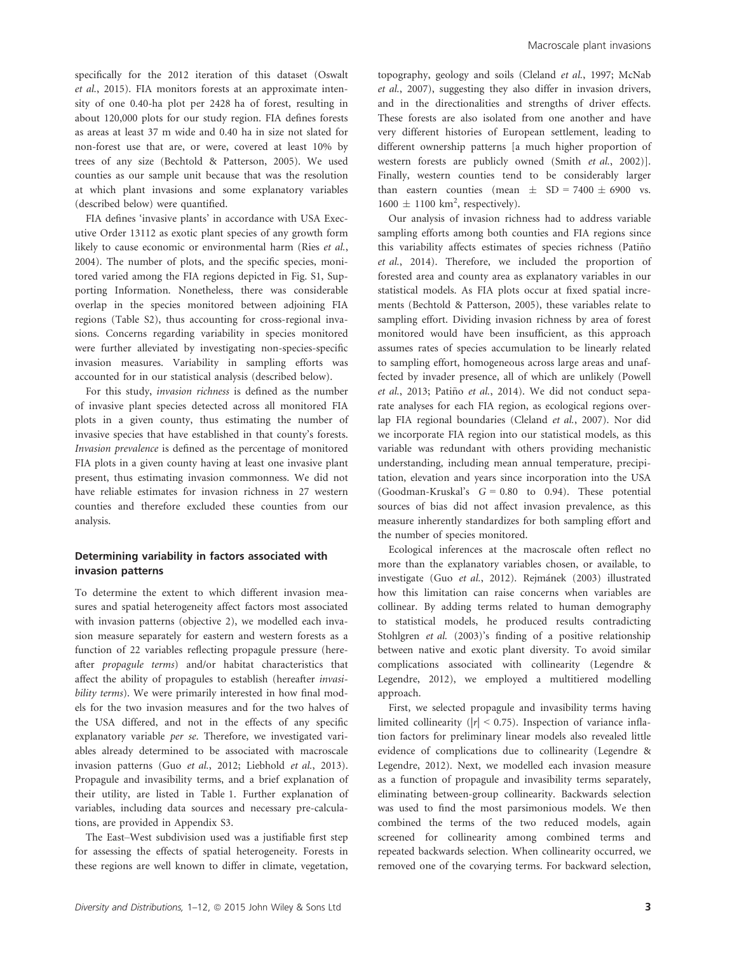specifically for the 2012 iteration of this dataset (Oswalt et al., 2015). FIA monitors forests at an approximate intensity of one 0.40-ha plot per 2428 ha of forest, resulting in about 120,000 plots for our study region. FIA defines forests as areas at least 37 m wide and 0.40 ha in size not slated for non-forest use that are, or were, covered at least 10% by trees of any size (Bechtold & Patterson, 2005). We used counties as our sample unit because that was the resolution at which plant invasions and some explanatory variables (described below) were quantified.

FIA defines 'invasive plants' in accordance with USA Executive Order 13112 as exotic plant species of any growth form likely to cause economic or environmental harm (Ries et al., 2004). The number of plots, and the specific species, monitored varied among the FIA regions depicted in Fig. S1, Supporting Information. Nonetheless, there was considerable overlap in the species monitored between adjoining FIA regions (Table S2), thus accounting for cross-regional invasions. Concerns regarding variability in species monitored were further alleviated by investigating non-species-specific invasion measures. Variability in sampling efforts was accounted for in our statistical analysis (described below).

For this study, invasion richness is defined as the number of invasive plant species detected across all monitored FIA plots in a given county, thus estimating the number of invasive species that have established in that county's forests. Invasion prevalence is defined as the percentage of monitored FIA plots in a given county having at least one invasive plant present, thus estimating invasion commonness. We did not have reliable estimates for invasion richness in 27 western counties and therefore excluded these counties from our analysis.

## Determining variability in factors associated with invasion patterns

To determine the extent to which different invasion measures and spatial heterogeneity affect factors most associated with invasion patterns (objective 2), we modelled each invasion measure separately for eastern and western forests as a function of 22 variables reflecting propagule pressure (hereafter propagule terms) and/or habitat characteristics that affect the ability of propagules to establish (hereafter invasibility terms). We were primarily interested in how final models for the two invasion measures and for the two halves of the USA differed, and not in the effects of any specific explanatory variable per se. Therefore, we investigated variables already determined to be associated with macroscale invasion patterns (Guo et al., 2012; Liebhold et al., 2013). Propagule and invasibility terms, and a brief explanation of their utility, are listed in Table 1. Further explanation of variables, including data sources and necessary pre-calculations, are provided in Appendix S3.

The East–West subdivision used was a justifiable first step for assessing the effects of spatial heterogeneity. Forests in these regions are well known to differ in climate, vegetation,

topography, geology and soils (Cleland et al., 1997; McNab et al., 2007), suggesting they also differ in invasion drivers, and in the directionalities and strengths of driver effects. These forests are also isolated from one another and have very different histories of European settlement, leading to different ownership patterns [a much higher proportion of western forests are publicly owned (Smith et al., 2002)]. Finally, western counties tend to be considerably larger than eastern counties (mean  $\pm$  SD = 7400  $\pm$  6900 vs.  $1600 \pm 1100 \text{ km}^2$ , respectively).

Our analysis of invasion richness had to address variable sampling efforts among both counties and FIA regions since this variability affects estimates of species richness (Patino~ et al., 2014). Therefore, we included the proportion of forested area and county area as explanatory variables in our statistical models. As FIA plots occur at fixed spatial increments (Bechtold & Patterson, 2005), these variables relate to sampling effort. Dividing invasion richness by area of forest monitored would have been insufficient, as this approach assumes rates of species accumulation to be linearly related to sampling effort, homogeneous across large areas and unaffected by invader presence, all of which are unlikely (Powell et al., 2013; Patiño et al., 2014). We did not conduct separate analyses for each FIA region, as ecological regions overlap FIA regional boundaries (Cleland et al., 2007). Nor did we incorporate FIA region into our statistical models, as this variable was redundant with others providing mechanistic understanding, including mean annual temperature, precipitation, elevation and years since incorporation into the USA (Goodman-Kruskal's  $G = 0.80$  to 0.94). These potential sources of bias did not affect invasion prevalence, as this measure inherently standardizes for both sampling effort and the number of species monitored.

Ecological inferences at the macroscale often reflect no more than the explanatory variables chosen, or available, to investigate (Guo *et al*., 2012). Rejmánek (2003) illustrated how this limitation can raise concerns when variables are collinear. By adding terms related to human demography to statistical models, he produced results contradicting Stohlgren et al. (2003)'s finding of a positive relationship between native and exotic plant diversity. To avoid similar complications associated with collinearity (Legendre & Legendre, 2012), we employed a multitiered modelling approach.

First, we selected propagule and invasibility terms having limited collinearity ( $|r| < 0.75$ ). Inspection of variance inflation factors for preliminary linear models also revealed little evidence of complications due to collinearity (Legendre & Legendre, 2012). Next, we modelled each invasion measure as a function of propagule and invasibility terms separately, eliminating between-group collinearity. Backwards selection was used to find the most parsimonious models. We then combined the terms of the two reduced models, again screened for collinearity among combined terms and repeated backwards selection. When collinearity occurred, we removed one of the covarying terms. For backward selection,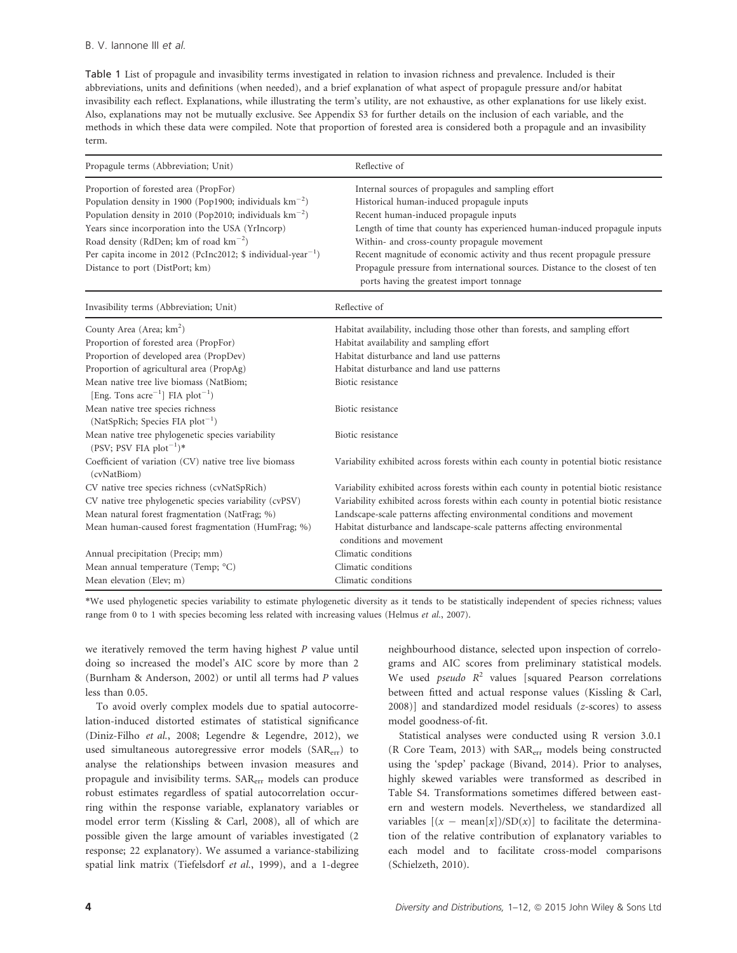Table 1 List of propagule and invasibility terms investigated in relation to invasion richness and prevalence. Included is their abbreviations, units and definitions (when needed), and a brief explanation of what aspect of propagule pressure and/or habitat invasibility each reflect. Explanations, while illustrating the term's utility, are not exhaustive, as other explanations for use likely exist. Also, explanations may not be mutually exclusive. See Appendix S3 for further details on the inclusion of each variable, and the methods in which these data were compiled. Note that proportion of forested area is considered both a propagule and an invasibility term.

| Propagule terms (Abbreviation; Unit)                                                                                                                                                                                                                                                                                                                                                            | Reflective of                                                                                                                                                                                                                                                                                                                                                                                                                                                                 |  |
|-------------------------------------------------------------------------------------------------------------------------------------------------------------------------------------------------------------------------------------------------------------------------------------------------------------------------------------------------------------------------------------------------|-------------------------------------------------------------------------------------------------------------------------------------------------------------------------------------------------------------------------------------------------------------------------------------------------------------------------------------------------------------------------------------------------------------------------------------------------------------------------------|--|
| Proportion of forested area (PropFor)<br>Population density in 1900 (Pop1900; individuals $km^{-2}$ )<br>Population density in 2010 (Pop2010; individuals $km^{-2}$ )<br>Years since incorporation into the USA (YrIncorp)<br>Road density (RdDen; km of road $\text{km}^{-2}$ )<br>Per capita income in 2012 (PcInc2012; \$ individual-year <sup>-1</sup> )<br>Distance to port (DistPort; km) | Internal sources of propagules and sampling effort<br>Historical human-induced propagule inputs<br>Recent human-induced propagule inputs<br>Length of time that county has experienced human-induced propagule inputs<br>Within- and cross-county propagule movement<br>Recent magnitude of economic activity and thus recent propagule pressure<br>Propagule pressure from international sources. Distance to the closest of ten<br>ports having the greatest import tonnage |  |
| Invasibility terms (Abbreviation; Unit)                                                                                                                                                                                                                                                                                                                                                         | Reflective of                                                                                                                                                                                                                                                                                                                                                                                                                                                                 |  |
| County Area (Area; km <sup>2</sup> )<br>Proportion of forested area (PropFor)<br>Proportion of developed area (PropDev)<br>Proportion of agricultural area (PropAg)                                                                                                                                                                                                                             | Habitat availability, including those other than forests, and sampling effort<br>Habitat availability and sampling effort<br>Habitat disturbance and land use patterns<br>Habitat disturbance and land use patterns<br>Biotic resistance                                                                                                                                                                                                                                      |  |
| Mean native tree live biomass (NatBiom;<br>[Eng. Tons $\arccos \arccos 1$ ] FIA plot <sup>-1</sup> )<br>Mean native tree species richness<br>(NatSpRich; Species FIA $plot^{-1}$ )                                                                                                                                                                                                              | Biotic resistance                                                                                                                                                                                                                                                                                                                                                                                                                                                             |  |
| Mean native tree phylogenetic species variability<br>(PSV; PSV FIA $plot^{-1}$ )*                                                                                                                                                                                                                                                                                                               | Biotic resistance                                                                                                                                                                                                                                                                                                                                                                                                                                                             |  |
| Coefficient of variation (CV) native tree live biomass<br>(cvNatBiom)                                                                                                                                                                                                                                                                                                                           | Variability exhibited across forests within each county in potential biotic resistance                                                                                                                                                                                                                                                                                                                                                                                        |  |
| CV native tree species richness (cvNatSpRich)<br>CV native tree phylogenetic species variability (cvPSV)<br>Mean natural forest fragmentation (NatFrag; %)<br>Mean human-caused forest fragmentation (HumFrag; %)                                                                                                                                                                               | Variability exhibited across forests within each county in potential biotic resistance<br>Variability exhibited across forests within each county in potential biotic resistance<br>Landscape-scale patterns affecting environmental conditions and movement<br>Habitat disturbance and landscape-scale patterns affecting environmental<br>conditions and movement                                                                                                           |  |
| Annual precipitation (Precip; mm)                                                                                                                                                                                                                                                                                                                                                               | Climatic conditions                                                                                                                                                                                                                                                                                                                                                                                                                                                           |  |
| Mean annual temperature (Temp; °C)                                                                                                                                                                                                                                                                                                                                                              | Climatic conditions                                                                                                                                                                                                                                                                                                                                                                                                                                                           |  |
| Mean elevation (Elev; m)                                                                                                                                                                                                                                                                                                                                                                        | Climatic conditions                                                                                                                                                                                                                                                                                                                                                                                                                                                           |  |

\*We used phylogenetic species variability to estimate phylogenetic diversity as it tends to be statistically independent of species richness; values range from 0 to 1 with species becoming less related with increasing values (Helmus et al., 2007).

we iteratively removed the term having highest  $P$  value until doing so increased the model's AIC score by more than 2 (Burnham & Anderson, 2002) or until all terms had P values less than 0.05.

To avoid overly complex models due to spatial autocorrelation-induced distorted estimates of statistical significance (Diniz-Filho et al., 2008; Legendre & Legendre, 2012), we used simultaneous autoregressive error models (SAR<sub>err</sub>) to analyse the relationships between invasion measures and propagule and invisibility terms. SAR<sub>err</sub> models can produce robust estimates regardless of spatial autocorrelation occurring within the response variable, explanatory variables or model error term (Kissling & Carl, 2008), all of which are possible given the large amount of variables investigated (2 response; 22 explanatory). We assumed a variance-stabilizing spatial link matrix (Tiefelsdorf et al., 1999), and a 1-degree neighbourhood distance, selected upon inspection of correlograms and AIC scores from preliminary statistical models. We used *pseudo*  $R^2$  values [squared Pearson correlations between fitted and actual response values (Kissling & Carl, 2008)] and standardized model residuals (z-scores) to assess model goodness-of-fit.

Statistical analyses were conducted using R version 3.0.1 (R Core Team, 2013) with SARerr models being constructed using the 'spdep' package (Bivand, 2014). Prior to analyses, highly skewed variables were transformed as described in Table S4. Transformations sometimes differed between eastern and western models. Nevertheless, we standardized all variables  $[(x - mean[x])/SD(x)]$  to facilitate the determination of the relative contribution of explanatory variables to each model and to facilitate cross-model comparisons (Schielzeth, 2010).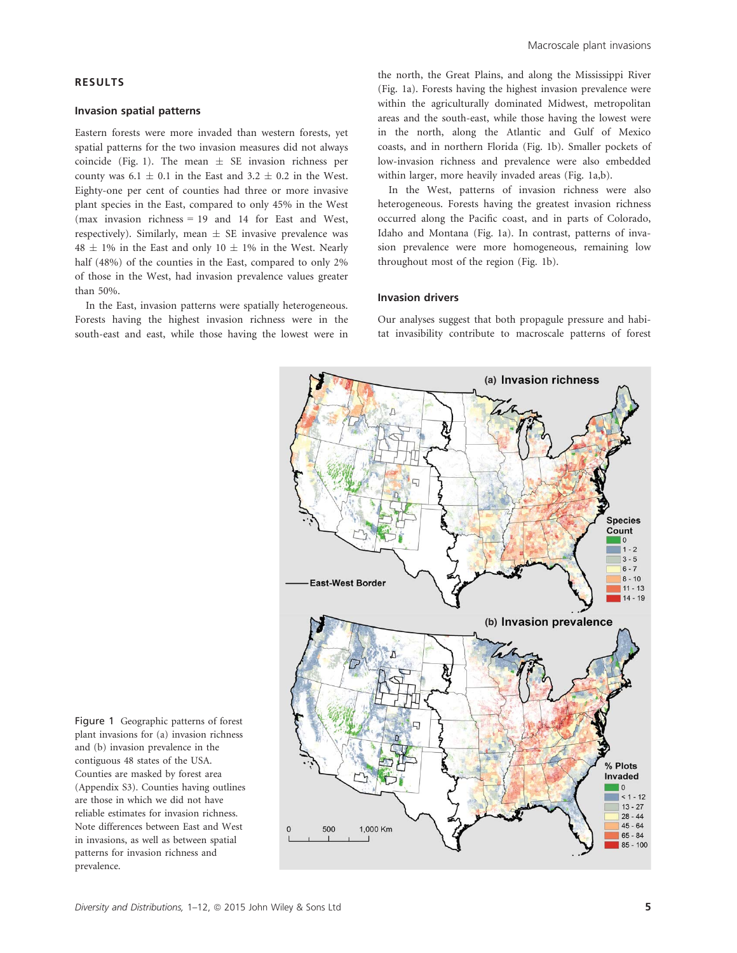## RESULTS

#### Invasion spatial patterns

Eastern forests were more invaded than western forests, yet spatial patterns for the two invasion measures did not always coincide (Fig. 1). The mean  $\pm$  SE invasion richness per county was  $6.1 \pm 0.1$  in the East and  $3.2 \pm 0.2$  in the West. Eighty-one per cent of counties had three or more invasive plant species in the East, compared to only 45% in the West (max invasion richness = 19 and 14 for East and West, respectively). Similarly, mean  $\pm$  SE invasive prevalence was  $48 \pm 1\%$  in the East and only  $10 \pm 1\%$  in the West. Nearly half (48%) of the counties in the East, compared to only 2% of those in the West, had invasion prevalence values greater than 50%.

In the East, invasion patterns were spatially heterogeneous. Forests having the highest invasion richness were in the south-east and east, while those having the lowest were in

the north, the Great Plains, and along the Mississippi River (Fig. 1a). Forests having the highest invasion prevalence were within the agriculturally dominated Midwest, metropolitan areas and the south-east, while those having the lowest were in the north, along the Atlantic and Gulf of Mexico coasts, and in northern Florida (Fig. 1b). Smaller pockets of low-invasion richness and prevalence were also embedded within larger, more heavily invaded areas (Fig. 1a,b).

In the West, patterns of invasion richness were also heterogeneous. Forests having the greatest invasion richness occurred along the Pacific coast, and in parts of Colorado, Idaho and Montana (Fig. 1a). In contrast, patterns of invasion prevalence were more homogeneous, remaining low throughout most of the region (Fig. 1b).

#### Invasion drivers

Our analyses suggest that both propagule pressure and habitat invasibility contribute to macroscale patterns of forest



Figure 1 Geographic patterns of forest plant invasions for (a) invasion richness and (b) invasion prevalence in the contiguous 48 states of the USA. Counties are masked by forest area (Appendix S3). Counties having outlines are those in which we did not have reliable estimates for invasion richness. Note differences between East and West in invasions, as well as between spatial patterns for invasion richness and prevalence.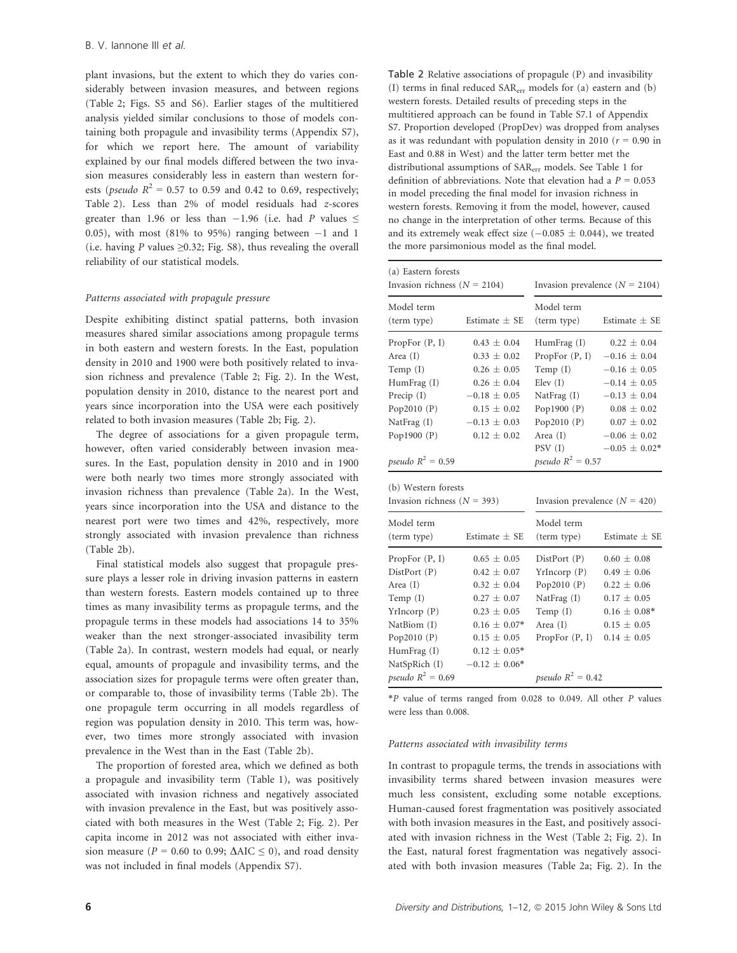plant invasions, but the extent to which they do varies considerably between invasion measures, and between regions (Table 2; Figs. S5 and S6). Earlier stages of the multitiered analysis yielded similar conclusions to those of models containing both propagule and invasibility terms (Appendix S7), for which we report here. The amount of variability explained by our final models differed between the two invasion measures considerably less in eastern than western forests (*pseudo*  $R^2 = 0.57$  to 0.59 and 0.42 to 0.69, respectively; Table 2). Less than 2% of model residuals had z-scores greater than 1.96 or less than  $-1.96$  (i.e. had P values  $\leq$ 0.05), with most (81% to 95%) ranging between  $-1$  and 1 (i.e. having P values  $\geq 0.32$ ; Fig. S8), thus revealing the overall reliability of our statistical models.

## Patterns associated with propagule pressure

Despite exhibiting distinct spatial patterns, both invasion measures shared similar associations among propagule terms in both eastern and western forests. In the East, population density in 2010 and 1900 were both positively related to invasion richness and prevalence (Table 2; Fig. 2). In the West, population density in 2010, distance to the nearest port and years since incorporation into the USA were each positively related to both invasion measures (Table 2b; Fig. 2).

The degree of associations for a given propagule term, however, often varied considerably between invasion measures. In the East, population density in 2010 and in 1900 were both nearly two times more strongly associated with invasion richness than prevalence (Table 2a). In the West, years since incorporation into the USA and distance to the nearest port were two times and 42%, respectively, more strongly associated with invasion prevalence than richness (Table 2b).

Final statistical models also suggest that propagule pressure plays a lesser role in driving invasion patterns in eastern than western forests. Eastern models contained up to three times as many invasibility terms as propagule terms, and the propagule terms in these models had associations 14 to 35% weaker than the next stronger-associated invasibility term (Table 2a). In contrast, western models had equal, or nearly equal, amounts of propagule and invasibility terms, and the association sizes for propagule terms were often greater than, or comparable to, those of invasibility terms (Table 2b). The one propagule term occurring in all models regardless of region was population density in 2010. This term was, however, two times more strongly associated with invasion prevalence in the West than in the East (Table 2b).

The proportion of forested area, which we defined as both a propagule and invasibility term (Table 1), was positively associated with invasion richness and negatively associated with invasion prevalence in the East, but was positively associated with both measures in the West (Table 2; Fig. 2). Per capita income in 2012 was not associated with either invasion measure ( $P = 0.60$  to 0.99;  $\Delta AIC \le 0$ ), and road density was not included in final models (Appendix S7).

Table 2 Relative associations of propagule (P) and invasibility (I) terms in final reduced SARerr models for (a) eastern and (b) western forests. Detailed results of preceding steps in the multitiered approach can be found in Table S7.1 of Appendix S7. Proportion developed (PropDev) was dropped from analyses as it was redundant with population density in 2010 ( $r = 0.90$  in East and 0.88 in West) and the latter term better met the distributional assumptions of SARerr models. See Table 1 for definition of abbreviations. Note that elevation had a  $P = 0.053$ in model preceding the final model for invasion richness in western forests. Removing it from the model, however, caused no change in the interpretation of other terms. Because of this and its extremely weak effect size  $(-0.085 \pm 0.044)$ , we treated the more parsimonious model as the final model.

| (a) Eastern forests<br>Invasion richness ( $N = 2104$ ) |                   | Invasion prevalence $(N = 2104)$ |                   |
|---------------------------------------------------------|-------------------|----------------------------------|-------------------|
| Model term<br>(term type)                               | Estimate $\pm$ SE | Model term<br>(term type)        | Estimate $\pm$ SE |
| PropFor $(P, I)$                                        | $0.43 \pm 0.04$   | $H \text{um}$ Frag $(I)$         | $0.22 \pm 0.04$   |
| Area (I)                                                | $0.33 \pm 0.02$   | PropFor $(P, I)$                 | $-0.16 \pm 0.04$  |
| Temp $(I)$                                              | $0.26 \pm 0.05$   | Temp $(I)$                       | $-0.16 \pm 0.05$  |
| HumFrag (I)                                             | $0.26 \pm 0.04$   | Elev(I)                          | $-0.14 \pm 0.05$  |
| Precip (I)                                              | $-0.18 \pm 0.05$  | NatFrag (I)                      | $-0.13 \pm 0.04$  |
| Pop2010 $(P)$                                           | $0.15 \pm 0.02$   | Pop1900 $(P)$                    | $0.08 \pm 0.02$   |
| NatFrag (I)                                             | $-0.13 \pm 0.03$  | Pop2010 $(P)$                    | $0.07 \pm 0.02$   |
| Pop1900 $(P)$                                           | $0.12 \pm 0.02$   | Area $(I)$                       | $-0.06 \pm 0.02$  |
|                                                         |                   | PSV(I)                           | $-0.05 \pm 0.02*$ |
| pseudo $R^2 = 0.59$                                     |                   | <i>pseudo</i> $R^2 = 0.57$       |                   |
| (b) Western forests                                     |                   |                                  |                   |
| Invasion richness ( $N = 393$ )                         |                   | Invasion prevalence $(N = 420)$  |                   |
| Model term                                              |                   | Model term                       |                   |
| (term type)                                             | Estimate $\pm$ SE | (term type)                      | Estimate $\pm$ SE |
| PropFor $(P, I)$                                        | $0.65 \pm 0.05$   | DistPort(P)                      | $0.60 \pm 0.08$   |
| DistPort (P)                                            | $0.42 \pm 0.07$   | YrIncorp(P)                      | $0.49 \pm 0.06$   |
| Area $(I)$                                              | $0.32 \pm 0.04$   | Pop2010 $(P)$                    | $0.22 \pm 0.06$   |
| Temp $(I)$                                              | $0.27 \pm 0.07$   | NatFrag (I)                      | $0.17 \pm 0.05$   |
| YrIncorp(P)                                             | $0.23 \pm 0.05$   | Temp $(I)$                       | $0.16 \pm 0.08*$  |
| NatBiom (I)                                             | $0.16 \pm 0.07*$  | Area $(I)$                       | $0.15 \pm 0.05$   |
| Pop2010 $(P)$                                           | $0.15 \pm 0.05$   | PropFor (P, I)                   | $0.14 \pm 0.05$   |
| HumFrag (I)                                             | $0.12 \pm 0.05*$  |                                  |                   |
| NatSpRich (I)                                           | $-0.12 \pm 0.06*$ |                                  |                   |
| <i>pseudo</i> $R^2 = 0.69$                              |                   | pseudo $R^2 = 0.42$              |                   |

 $*P$  value of terms ranged from 0.028 to 0.049. All other  $P$  values were less than 0.008.

#### Patterns associated with invasibility terms

In contrast to propagule terms, the trends in associations with invasibility terms shared between invasion measures were much less consistent, excluding some notable exceptions. Human-caused forest fragmentation was positively associated with both invasion measures in the East, and positively associated with invasion richness in the West (Table 2; Fig. 2). In the East, natural forest fragmentation was negatively associated with both invasion measures (Table 2a; Fig. 2). In the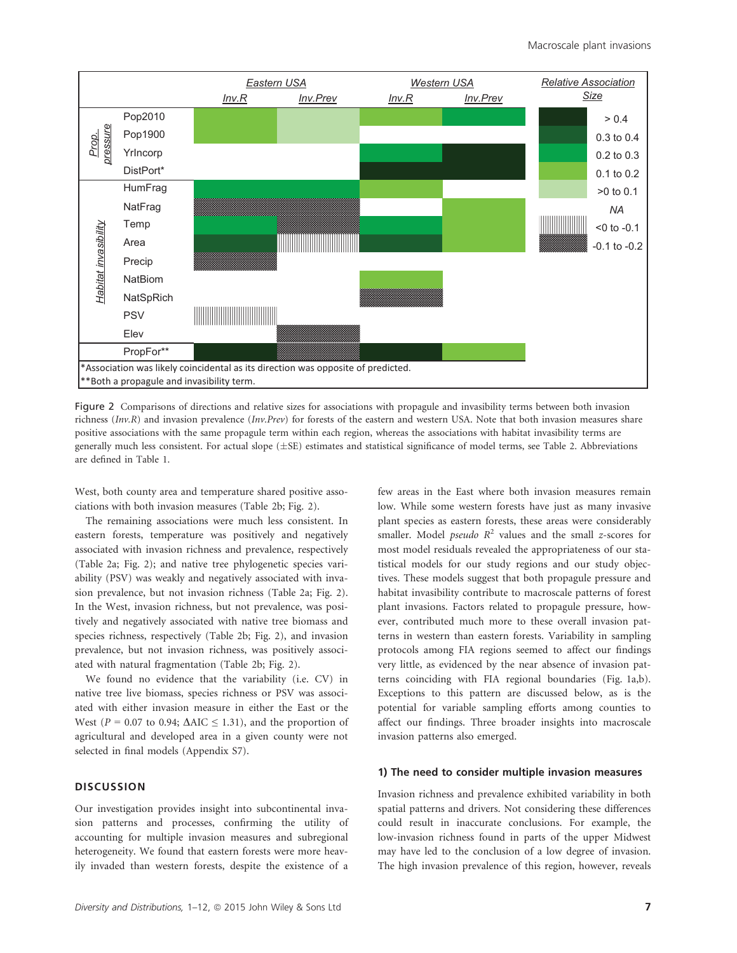

Figure 2 Comparisons of directions and relative sizes for associations with propagule and invasibility terms between both invasion richness ( $Inv, R$ ) and invasion prevalence ( $Inv, Prev$ ) for forests of the eastern and western USA. Note that both invasion measures share positive associations with the same propagule term within each region, whereas the associations with habitat invasibility terms are generally much less consistent. For actual slope  $(\pm \text{SE})$  estimates and statistical significance of model terms, see Table 2. Abbreviations are defined in Table 1.

West, both county area and temperature shared positive associations with both invasion measures (Table 2b; Fig. 2).

The remaining associations were much less consistent. In eastern forests, temperature was positively and negatively associated with invasion richness and prevalence, respectively (Table 2a; Fig. 2); and native tree phylogenetic species variability (PSV) was weakly and negatively associated with invasion prevalence, but not invasion richness (Table 2a; Fig. 2). In the West, invasion richness, but not prevalence, was positively and negatively associated with native tree biomass and species richness, respectively (Table 2b; Fig. 2), and invasion prevalence, but not invasion richness, was positively associated with natural fragmentation (Table 2b; Fig. 2).

We found no evidence that the variability (i.e. CV) in native tree live biomass, species richness or PSV was associated with either invasion measure in either the East or the West ( $P = 0.07$  to 0.94;  $\Delta AIC \leq 1.31$ ), and the proportion of agricultural and developed area in a given county were not selected in final models (Appendix S7).

## **DISCUSSION**

Our investigation provides insight into subcontinental invasion patterns and processes, confirming the utility of accounting for multiple invasion measures and subregional heterogeneity. We found that eastern forests were more heavily invaded than western forests, despite the existence of a

few areas in the East where both invasion measures remain low. While some western forests have just as many invasive plant species as eastern forests, these areas were considerably smaller. Model *pseudo*  $R^2$  values and the small *z*-scores for most model residuals revealed the appropriateness of our statistical models for our study regions and our study objectives. These models suggest that both propagule pressure and habitat invasibility contribute to macroscale patterns of forest plant invasions. Factors related to propagule pressure, however, contributed much more to these overall invasion patterns in western than eastern forests. Variability in sampling protocols among FIA regions seemed to affect our findings very little, as evidenced by the near absence of invasion patterns coinciding with FIA regional boundaries (Fig. 1a,b). Exceptions to this pattern are discussed below, as is the potential for variable sampling efforts among counties to affect our findings. Three broader insights into macroscale invasion patterns also emerged.

#### 1) The need to consider multiple invasion measures

Invasion richness and prevalence exhibited variability in both spatial patterns and drivers. Not considering these differences could result in inaccurate conclusions. For example, the low-invasion richness found in parts of the upper Midwest may have led to the conclusion of a low degree of invasion. The high invasion prevalence of this region, however, reveals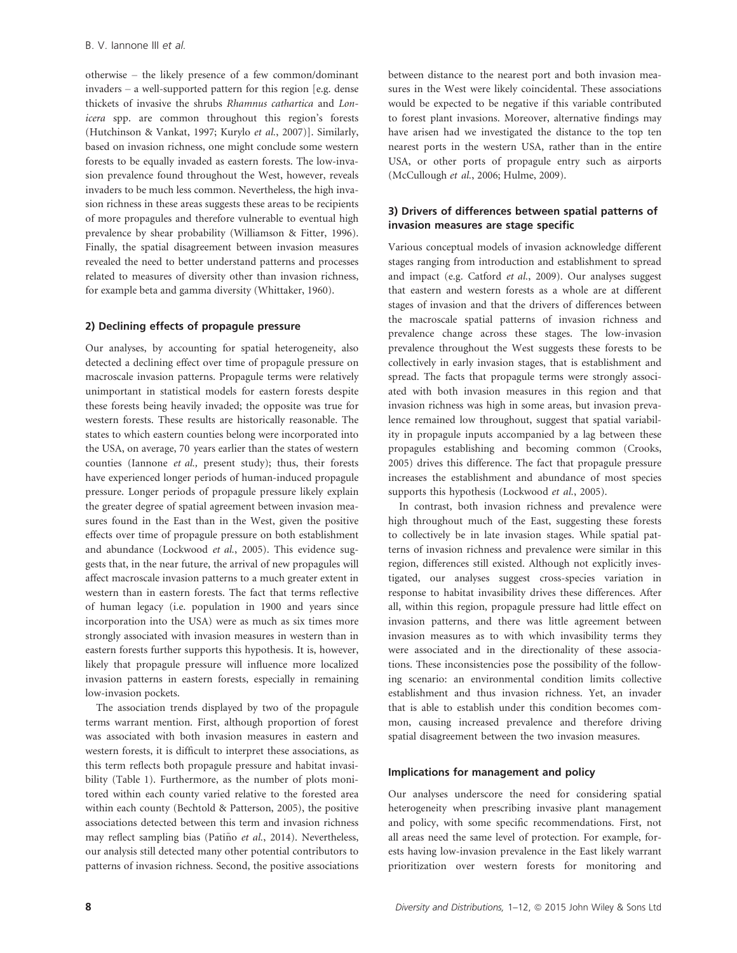otherwise – the likely presence of a few common/dominant invaders – a well-supported pattern for this region [e.g. dense thickets of invasive the shrubs Rhamnus cathartica and Lonicera spp. are common throughout this region's forests (Hutchinson & Vankat, 1997; Kurylo et al., 2007)]. Similarly, based on invasion richness, one might conclude some western forests to be equally invaded as eastern forests. The low-invasion prevalence found throughout the West, however, reveals invaders to be much less common. Nevertheless, the high invasion richness in these areas suggests these areas to be recipients of more propagules and therefore vulnerable to eventual high prevalence by shear probability (Williamson & Fitter, 1996). Finally, the spatial disagreement between invasion measures revealed the need to better understand patterns and processes related to measures of diversity other than invasion richness, for example beta and gamma diversity (Whittaker, 1960).

## 2) Declining effects of propagule pressure

Our analyses, by accounting for spatial heterogeneity, also detected a declining effect over time of propagule pressure on macroscale invasion patterns. Propagule terms were relatively unimportant in statistical models for eastern forests despite these forests being heavily invaded; the opposite was true for western forests. These results are historically reasonable. The states to which eastern counties belong were incorporated into the USA, on average, 70 years earlier than the states of western counties (Iannone et al., present study); thus, their forests have experienced longer periods of human-induced propagule pressure. Longer periods of propagule pressure likely explain the greater degree of spatial agreement between invasion measures found in the East than in the West, given the positive effects over time of propagule pressure on both establishment and abundance (Lockwood et al., 2005). This evidence suggests that, in the near future, the arrival of new propagules will affect macroscale invasion patterns to a much greater extent in western than in eastern forests. The fact that terms reflective of human legacy (i.e. population in 1900 and years since incorporation into the USA) were as much as six times more strongly associated with invasion measures in western than in eastern forests further supports this hypothesis. It is, however, likely that propagule pressure will influence more localized invasion patterns in eastern forests, especially in remaining low-invasion pockets.

The association trends displayed by two of the propagule terms warrant mention. First, although proportion of forest was associated with both invasion measures in eastern and western forests, it is difficult to interpret these associations, as this term reflects both propagule pressure and habitat invasibility (Table 1). Furthermore, as the number of plots monitored within each county varied relative to the forested area within each county (Bechtold & Patterson, 2005), the positive associations detected between this term and invasion richness may reflect sampling bias (Patiño et al., 2014). Nevertheless, our analysis still detected many other potential contributors to patterns of invasion richness. Second, the positive associations

between distance to the nearest port and both invasion measures in the West were likely coincidental. These associations would be expected to be negative if this variable contributed to forest plant invasions. Moreover, alternative findings may have arisen had we investigated the distance to the top ten nearest ports in the western USA, rather than in the entire USA, or other ports of propagule entry such as airports (McCullough et al., 2006; Hulme, 2009).

## 3) Drivers of differences between spatial patterns of invasion measures are stage specific

Various conceptual models of invasion acknowledge different stages ranging from introduction and establishment to spread and impact (e.g. Catford et al., 2009). Our analyses suggest that eastern and western forests as a whole are at different stages of invasion and that the drivers of differences between the macroscale spatial patterns of invasion richness and prevalence change across these stages. The low-invasion prevalence throughout the West suggests these forests to be collectively in early invasion stages, that is establishment and spread. The facts that propagule terms were strongly associated with both invasion measures in this region and that invasion richness was high in some areas, but invasion prevalence remained low throughout, suggest that spatial variability in propagule inputs accompanied by a lag between these propagules establishing and becoming common (Crooks, 2005) drives this difference. The fact that propagule pressure increases the establishment and abundance of most species supports this hypothesis (Lockwood et al., 2005).

In contrast, both invasion richness and prevalence were high throughout much of the East, suggesting these forests to collectively be in late invasion stages. While spatial patterns of invasion richness and prevalence were similar in this region, differences still existed. Although not explicitly investigated, our analyses suggest cross-species variation in response to habitat invasibility drives these differences. After all, within this region, propagule pressure had little effect on invasion patterns, and there was little agreement between invasion measures as to with which invasibility terms they were associated and in the directionality of these associations. These inconsistencies pose the possibility of the following scenario: an environmental condition limits collective establishment and thus invasion richness. Yet, an invader that is able to establish under this condition becomes common, causing increased prevalence and therefore driving spatial disagreement between the two invasion measures.

#### Implications for management and policy

Our analyses underscore the need for considering spatial heterogeneity when prescribing invasive plant management and policy, with some specific recommendations. First, not all areas need the same level of protection. For example, forests having low-invasion prevalence in the East likely warrant prioritization over western forests for monitoring and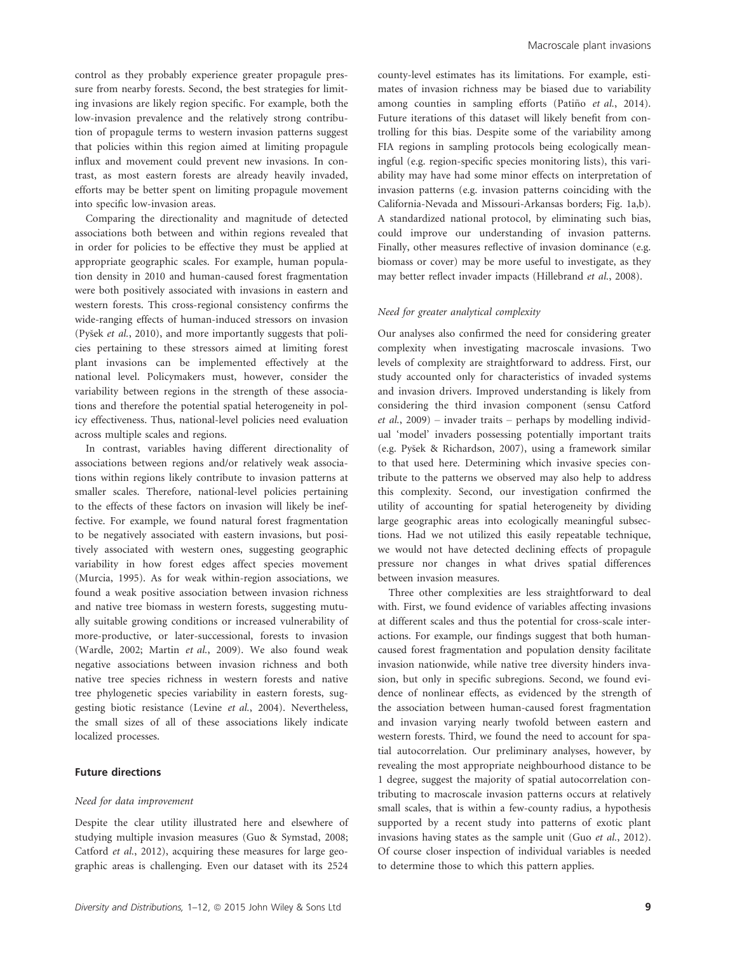control as they probably experience greater propagule pressure from nearby forests. Second, the best strategies for limiting invasions are likely region specific. For example, both the low-invasion prevalence and the relatively strong contribution of propagule terms to western invasion patterns suggest that policies within this region aimed at limiting propagule influx and movement could prevent new invasions. In contrast, as most eastern forests are already heavily invaded, efforts may be better spent on limiting propagule movement into specific low-invasion areas.

Comparing the directionality and magnitude of detected associations both between and within regions revealed that in order for policies to be effective they must be applied at appropriate geographic scales. For example, human population density in 2010 and human-caused forest fragmentation were both positively associated with invasions in eastern and western forests. This cross-regional consistency confirms the wide-ranging effects of human-induced stressors on invasion (Pysek et al., 2010), and more importantly suggests that policies pertaining to these stressors aimed at limiting forest plant invasions can be implemented effectively at the national level. Policymakers must, however, consider the variability between regions in the strength of these associations and therefore the potential spatial heterogeneity in policy effectiveness. Thus, national-level policies need evaluation across multiple scales and regions.

In contrast, variables having different directionality of associations between regions and/or relatively weak associations within regions likely contribute to invasion patterns at smaller scales. Therefore, national-level policies pertaining to the effects of these factors on invasion will likely be ineffective. For example, we found natural forest fragmentation to be negatively associated with eastern invasions, but positively associated with western ones, suggesting geographic variability in how forest edges affect species movement (Murcia, 1995). As for weak within-region associations, we found a weak positive association between invasion richness and native tree biomass in western forests, suggesting mutually suitable growing conditions or increased vulnerability of more-productive, or later-successional, forests to invasion (Wardle, 2002; Martin et al., 2009). We also found weak negative associations between invasion richness and both native tree species richness in western forests and native tree phylogenetic species variability in eastern forests, suggesting biotic resistance (Levine et al., 2004). Nevertheless, the small sizes of all of these associations likely indicate localized processes.

#### Future directions

#### Need for data improvement

Despite the clear utility illustrated here and elsewhere of studying multiple invasion measures (Guo & Symstad, 2008; Catford et al., 2012), acquiring these measures for large geographic areas is challenging. Even our dataset with its 2524

county-level estimates has its limitations. For example, estimates of invasion richness may be biased due to variability among counties in sampling efforts (Patiño et al., 2014). Future iterations of this dataset will likely benefit from controlling for this bias. Despite some of the variability among FIA regions in sampling protocols being ecologically meaningful (e.g. region-specific species monitoring lists), this variability may have had some minor effects on interpretation of invasion patterns (e.g. invasion patterns coinciding with the California-Nevada and Missouri-Arkansas borders; Fig. 1a,b). A standardized national protocol, by eliminating such bias, could improve our understanding of invasion patterns. Finally, other measures reflective of invasion dominance (e.g. biomass or cover) may be more useful to investigate, as they may better reflect invader impacts (Hillebrand et al., 2008).

#### Need for greater analytical complexity

Our analyses also confirmed the need for considering greater complexity when investigating macroscale invasions. Two levels of complexity are straightforward to address. First, our study accounted only for characteristics of invaded systems and invasion drivers. Improved understanding is likely from considering the third invasion component (sensu Catford  $et \ al., 2009$  – invader traits – perhaps by modelling individual 'model' invaders possessing potentially important traits (e.g. Pysek & Richardson, 2007), using a framework similar to that used here. Determining which invasive species contribute to the patterns we observed may also help to address this complexity. Second, our investigation confirmed the utility of accounting for spatial heterogeneity by dividing large geographic areas into ecologically meaningful subsections. Had we not utilized this easily repeatable technique, we would not have detected declining effects of propagule pressure nor changes in what drives spatial differences between invasion measures.

Three other complexities are less straightforward to deal with. First, we found evidence of variables affecting invasions at different scales and thus the potential for cross-scale interactions. For example, our findings suggest that both humancaused forest fragmentation and population density facilitate invasion nationwide, while native tree diversity hinders invasion, but only in specific subregions. Second, we found evidence of nonlinear effects, as evidenced by the strength of the association between human-caused forest fragmentation and invasion varying nearly twofold between eastern and western forests. Third, we found the need to account for spatial autocorrelation. Our preliminary analyses, however, by revealing the most appropriate neighbourhood distance to be 1 degree, suggest the majority of spatial autocorrelation contributing to macroscale invasion patterns occurs at relatively small scales, that is within a few-county radius, a hypothesis supported by a recent study into patterns of exotic plant invasions having states as the sample unit (Guo et al., 2012). Of course closer inspection of individual variables is needed to determine those to which this pattern applies.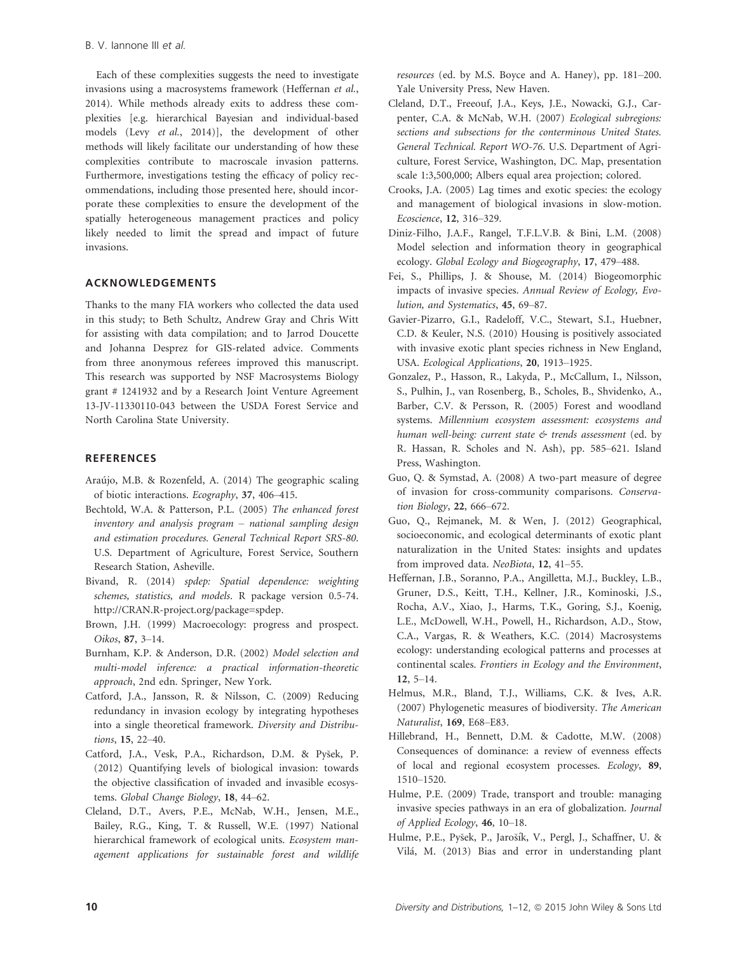Each of these complexities suggests the need to investigate invasions using a macrosystems framework (Heffernan et al., 2014). While methods already exits to address these complexities [e.g. hierarchical Bayesian and individual-based models (Levy et al., 2014)], the development of other methods will likely facilitate our understanding of how these complexities contribute to macroscale invasion patterns. Furthermore, investigations testing the efficacy of policy recommendations, including those presented here, should incorporate these complexities to ensure the development of the spatially heterogeneous management practices and policy likely needed to limit the spread and impact of future invasions.

## ACKNOWLEDGEMENTS

Thanks to the many FIA workers who collected the data used in this study; to Beth Schultz, Andrew Gray and Chris Witt for assisting with data compilation; and to Jarrod Doucette and Johanna Desprez for GIS-related advice. Comments from three anonymous referees improved this manuscript. This research was supported by NSF Macrosystems Biology grant # 1241932 and by a Research Joint Venture Agreement 13-JV-11330110-043 between the USDA Forest Service and North Carolina State University.

## **REFERENCES**

- Araújo, M.B. & Rozenfeld, A. (2014) The geographic scaling of biotic interactions. Ecography, 37, 406–415.
- Bechtold, W.A. & Patterson, P.L. (2005) The enhanced forest inventory and analysis program – national sampling design and estimation procedures. General Technical Report SRS-80. U.S. Department of Agriculture, Forest Service, Southern Research Station, Asheville.
- Bivand, R. (2014) spdep: Spatial dependence: weighting schemes, statistics, and models. R package version 0.5-74. http://CRAN.R-project.org/package=spdep.
- Brown, J.H. (1999) Macroecology: progress and prospect. Oikos, 87, 3–14.
- Burnham, K.P. & Anderson, D.R. (2002) Model selection and multi-model inference: a practical information-theoretic approach, 2nd edn. Springer, New York.
- Catford, J.A., Jansson, R. & Nilsson, C. (2009) Reducing redundancy in invasion ecology by integrating hypotheses into a single theoretical framework. Diversity and Distributions, 15, 22–40.
- Catford, J.A., Vesk, P.A., Richardson, D.M. & Pysek, P. (2012) Quantifying levels of biological invasion: towards the objective classification of invaded and invasible ecosystems. Global Change Biology, 18, 44–62.
- Cleland, D.T., Avers, P.E., McNab, W.H., Jensen, M.E., Bailey, R.G., King, T. & Russell, W.E. (1997) National hierarchical framework of ecological units. Ecosystem management applications for sustainable forest and wildlife

resources (ed. by M.S. Boyce and A. Haney), pp. 181–200. Yale University Press, New Haven.

- Cleland, D.T., Freeouf, J.A., Keys, J.E., Nowacki, G.J., Carpenter, C.A. & McNab, W.H. (2007) Ecological subregions: sections and subsections for the conterminous United States. General Technical. Report WO-76. U.S. Department of Agriculture, Forest Service, Washington, DC. Map, presentation scale 1:3,500,000; Albers equal area projection; colored.
- Crooks, J.A. (2005) Lag times and exotic species: the ecology and management of biological invasions in slow-motion. Ecoscience, 12, 316–329.
- Diniz-Filho, J.A.F., Rangel, T.F.L.V.B. & Bini, L.M. (2008) Model selection and information theory in geographical ecology. Global Ecology and Biogeography, 17, 479–488.
- Fei, S., Phillips, J. & Shouse, M. (2014) Biogeomorphic impacts of invasive species. Annual Review of Ecology, Evolution, and Systematics, 45, 69–87.
- Gavier-Pizarro, G.I., Radeloff, V.C., Stewart, S.I., Huebner, C.D. & Keuler, N.S. (2010) Housing is positively associated with invasive exotic plant species richness in New England, USA. Ecological Applications, 20, 1913–1925.
- Gonzalez, P., Hasson, R., Lakyda, P., McCallum, I., Nilsson, S., Pulhin, J., van Rosenberg, B., Scholes, B., Shvidenko, A., Barber, C.V. & Persson, R. (2005) Forest and woodland systems. Millennium ecosystem assessment: ecosystems and human well-being: current state & trends assessment (ed. by R. Hassan, R. Scholes and N. Ash), pp. 585–621. Island Press, Washington.
- Guo, Q. & Symstad, A. (2008) A two-part measure of degree of invasion for cross-community comparisons. Conservation Biology, 22, 666–672.
- Guo, Q., Rejmanek, M. & Wen, J. (2012) Geographical, socioeconomic, and ecological determinants of exotic plant naturalization in the United States: insights and updates from improved data. NeoBiota, 12, 41-55.
- Heffernan, J.B., Soranno, P.A., Angilletta, M.J., Buckley, L.B., Gruner, D.S., Keitt, T.H., Kellner, J.R., Kominoski, J.S., Rocha, A.V., Xiao, J., Harms, T.K., Goring, S.J., Koenig, L.E., McDowell, W.H., Powell, H., Richardson, A.D., Stow, C.A., Vargas, R. & Weathers, K.C. (2014) Macrosystems ecology: understanding ecological patterns and processes at continental scales. Frontiers in Ecology and the Environment, 12, 5–14.
- Helmus, M.R., Bland, T.J., Williams, C.K. & Ives, A.R. (2007) Phylogenetic measures of biodiversity. The American Naturalist, 169, E68–E83.
- Hillebrand, H., Bennett, D.M. & Cadotte, M.W. (2008) Consequences of dominance: a review of evenness effects of local and regional ecosystem processes. Ecology, 89, 1510–1520.
- Hulme, P.E. (2009) Trade, transport and trouble: managing invasive species pathways in an era of globalization. Journal of Applied Ecology, 46, 10–18.
- Hulme, P.E., Pyšek, P., Jarošík, V., Pergl, J., Schaffner, U. & Vilá, M. (2013) Bias and error in understanding plant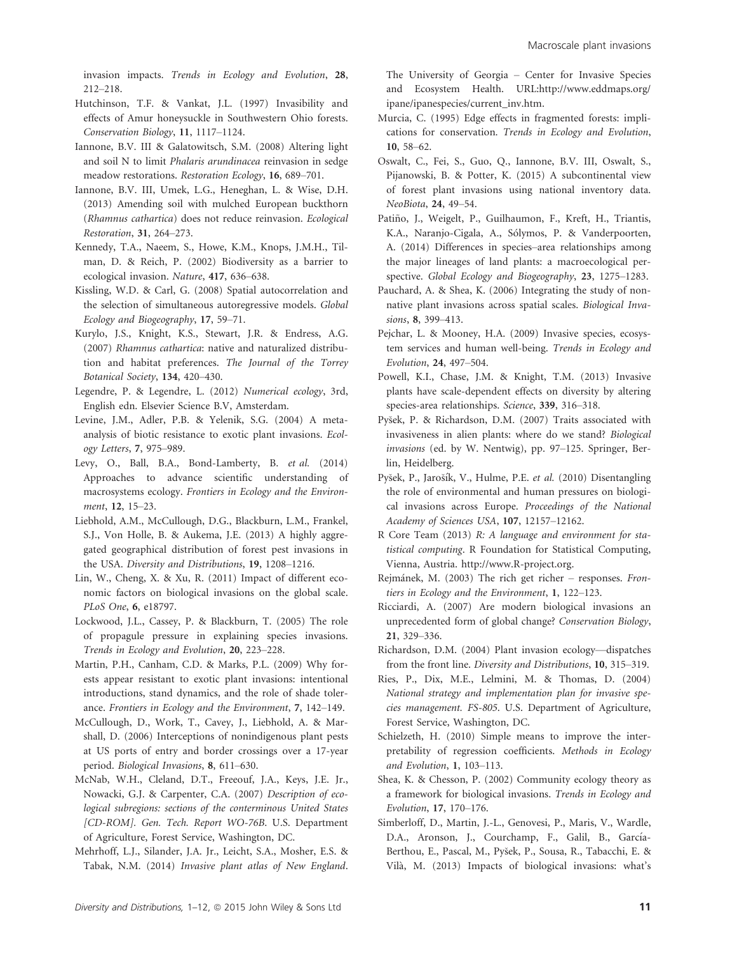invasion impacts. Trends in Ecology and Evolution, 28, 212–218.

- Hutchinson, T.F. & Vankat, J.L. (1997) Invasibility and effects of Amur honeysuckle in Southwestern Ohio forests. Conservation Biology, 11, 1117–1124.
- Iannone, B.V. III & Galatowitsch, S.M. (2008) Altering light and soil N to limit Phalaris arundinacea reinvasion in sedge meadow restorations. Restoration Ecology, 16, 689–701.
- Iannone, B.V. III, Umek, L.G., Heneghan, L. & Wise, D.H. (2013) Amending soil with mulched European buckthorn (Rhamnus cathartica) does not reduce reinvasion. Ecological Restoration, 31, 264–273.
- Kennedy, T.A., Naeem, S., Howe, K.M., Knops, J.M.H., Tilman, D. & Reich, P. (2002) Biodiversity as a barrier to ecological invasion. Nature, 417, 636–638.
- Kissling, W.D. & Carl, G. (2008) Spatial autocorrelation and the selection of simultaneous autoregressive models. Global Ecology and Biogeography, 17, 59–71.
- Kurylo, J.S., Knight, K.S., Stewart, J.R. & Endress, A.G. (2007) Rhamnus cathartica: native and naturalized distribution and habitat preferences. The Journal of the Torrey Botanical Society, 134, 420–430.
- Legendre, P. & Legendre, L. (2012) Numerical ecology, 3rd, English edn. Elsevier Science B.V, Amsterdam.
- Levine, J.M., Adler, P.B. & Yelenik, S.G. (2004) A metaanalysis of biotic resistance to exotic plant invasions. Ecology Letters, 7, 975–989.
- Levy, O., Ball, B.A., Bond-Lamberty, B. et al. (2014) Approaches to advance scientific understanding of macrosystems ecology. Frontiers in Ecology and the Environment, 12, 15–23.
- Liebhold, A.M., McCullough, D.G., Blackburn, L.M., Frankel, S.J., Von Holle, B. & Aukema, J.E. (2013) A highly aggregated geographical distribution of forest pest invasions in the USA. Diversity and Distributions, 19, 1208–1216.
- Lin, W., Cheng, X. & Xu, R. (2011) Impact of different economic factors on biological invasions on the global scale. PLoS One, 6, e18797.
- Lockwood, J.L., Cassey, P. & Blackburn, T. (2005) The role of propagule pressure in explaining species invasions. Trends in Ecology and Evolution, 20, 223–228.
- Martin, P.H., Canham, C.D. & Marks, P.L. (2009) Why forests appear resistant to exotic plant invasions: intentional introductions, stand dynamics, and the role of shade tolerance. Frontiers in Ecology and the Environment, 7, 142–149.
- McCullough, D., Work, T., Cavey, J., Liebhold, A. & Marshall, D. (2006) Interceptions of nonindigenous plant pests at US ports of entry and border crossings over a 17-year period. Biological Invasions, 8, 611–630.
- McNab, W.H., Cleland, D.T., Freeouf, J.A., Keys, J.E. Jr., Nowacki, G.J. & Carpenter, C.A. (2007) Description of ecological subregions: sections of the conterminous United States [CD-ROM]. Gen. Tech. Report WO-76B. U.S. Department of Agriculture, Forest Service, Washington, DC.
- Mehrhoff, L.J., Silander, J.A. Jr., Leicht, S.A., Mosher, E.S. & Tabak, N.M. (2014) Invasive plant atlas of New England.

The University of Georgia – Center for Invasive Species and Ecosystem Health. URL:http://www.eddmaps.org/ ipane/ipanespecies/current\_inv.htm.

- Murcia, C. (1995) Edge effects in fragmented forests: implications for conservation. Trends in Ecology and Evolution, 10, 58–62.
- Oswalt, C., Fei, S., Guo, Q., Iannone, B.V. III, Oswalt, S., Pijanowski, B. & Potter, K. (2015) A subcontinental view of forest plant invasions using national inventory data. NeoBiota, 24, 49–54.
- Patiño, J., Weigelt, P., Guilhaumon, F., Kreft, H., Triantis, K.A., Naranjo-Cigala, A., Sólymos, P. & Vanderpoorten, A. (2014) Differences in species–area relationships among the major lineages of land plants: a macroecological perspective. Global Ecology and Biogeography, 23, 1275–1283.
- Pauchard, A. & Shea, K. (2006) Integrating the study of nonnative plant invasions across spatial scales. Biological Invasions, 8, 399-413.
- Pejchar, L. & Mooney, H.A. (2009) Invasive species, ecosystem services and human well-being. Trends in Ecology and Evolution, 24, 497–504.
- Powell, K.I., Chase, J.M. & Knight, T.M. (2013) Invasive plants have scale-dependent effects on diversity by altering species-area relationships. Science, 339, 316–318.
- Pysek, P. & Richardson, D.M. (2007) Traits associated with invasiveness in alien plants: where do we stand? Biological invasions (ed. by W. Nentwig), pp. 97–125. Springer, Berlin, Heidelberg.
- Pyšek, P., Jarošík, V., Hulme, P.E. et al. (2010) Disentangling the role of environmental and human pressures on biological invasions across Europe. Proceedings of the National Academy of Sciences USA, 107, 12157–12162.
- R Core Team (2013) R: A language and environment for statistical computing. R Foundation for Statistical Computing, Vienna, Austria. http://www.R-project.org.
- Rejmánek, M. (2003) The rich get richer responses. Frontiers in Ecology and the Environment, 1, 122–123.
- Ricciardi, A. (2007) Are modern biological invasions an unprecedented form of global change? Conservation Biology, 21, 329–336.
- Richardson, D.M. (2004) Plant invasion ecology—dispatches from the front line. Diversity and Distributions, 10, 315–319.
- Ries, P., Dix, M.E., Lelmini, M. & Thomas, D. (2004) National strategy and implementation plan for invasive species management. FS-805. U.S. Department of Agriculture, Forest Service, Washington, DC.
- Schielzeth, H. (2010) Simple means to improve the interpretability of regression coefficients. Methods in Ecology and Evolution, 1, 103–113.
- Shea, K. & Chesson, P. (2002) Community ecology theory as a framework for biological invasions. Trends in Ecology and Evolution, 17, 170–176.
- Simberloff, D., Martin, J.-L., Genovesi, P., Maris, V., Wardle, D.A., Aronson, J., Courchamp, F., Galil, B., García-Berthou, E., Pascal, M., Pysek, P., Sousa, R., Tabacchi, E. & Vila, M. (2013) Impacts of biological invasions: what's